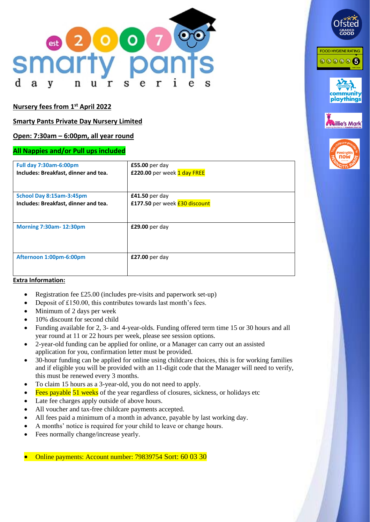

# **Nursery fees from 1 st April 2022**

# **Smarty Pants Private Day Nursery Limited**

# **Open: 7:30am – 6:00pm, all year round**

#### **All Nappies and/or Pull ups included**

| <b>Full day 7:30am-6:00pm</b>        | $£55.00$ per day                     |
|--------------------------------------|--------------------------------------|
| Includes: Breakfast, dinner and tea. | <b>£220.00 per week 1 day FREE</b>   |
|                                      |                                      |
| School Day 8:15am-3:45pm             | $£41.50$ per day                     |
| Includes: Breakfast, dinner and tea. | £177.50 per week <b>£30 discount</b> |
|                                      |                                      |
| <b>Morning 7:30am-12:30pm</b>        | £29.00 per day                       |
|                                      |                                      |
|                                      |                                      |
| Afternoon 1:00pm-6:00pm              | £27.00 per day                       |
|                                      |                                      |
|                                      |                                      |

**FOOD HYGIENE RATING** 

000006

playthings

**Mark** 

#### **Extra Information:**

- Registration fee £25.00 (includes pre-visits and paperwork set-up)
- Deposit of £150.00, this contributes towards last month's fees.
- Minimum of 2 days per week
- 10% discount for second child
- Funding available for 2, 3- and 4-year-olds. Funding offered term time 15 or 30 hours and all year round at 11 or 22 hours per week, please see session options.
- 2-year-old funding can be applied for online, or a Manager can carry out an assisted application for you, confirmation letter must be provided.
- 30-hour funding can be applied for online using childcare choices, this is for working families and if eligible you will be provided with an 11-digit code that the Manager will need to verify, this must be renewed every 3 months.
- To claim 15 hours as a 3-year-old, you do not need to apply.
- Fees payable  $\frac{51}{9}$  weeks of the year regardless of closures, sickness, or holidays etc
- Late fee charges apply outside of above hours.
- All voucher and tax-free childcare payments accepted.
- All fees paid a minimum of a month in advance, payable by last working day.
- A months' notice is required for your child to leave or change hours.
- Fees normally change/increase yearly.

• Online payments: Account number: 79839754 Sort: 60 03 30